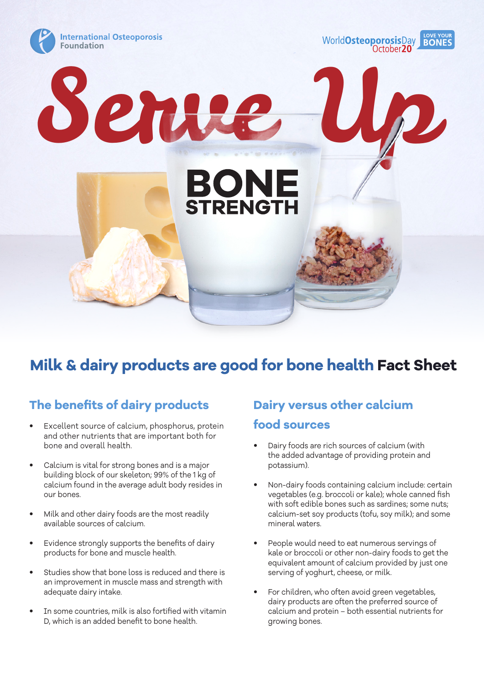

# **Milk & dairy products are good for bone health Fact Sheet**

### **The benefits of dairy products**

- Excellent source of calcium, phosphorus, protein and other nutrients that are important both for bone and overall health.
- Calcium is vital for strong bones and is a major building block of our skeleton; 99% of the 1 kg of calcium found in the average adult body resides in our bones.
- Milk and other dairy foods are the most readily available sources of calcium.
- Evidence strongly supports the benefits of dairy products for bone and muscle health.
- Studies show that bone loss is reduced and there is an improvement in muscle mass and strength with adequate dairy intake.
- In some countries, milk is also fortified with vitamin D, which is an added benefit to bone health.

# **Dairy versus other calcium food sources**

- Dairy foods are rich sources of calcium (with the added advantage of providing protein and potassium).
- Non-dairy foods containing calcium include: certain vegetables (e.g. broccoli or kale); whole canned fish with soft edible bones such as sardines; some nuts; calcium-set soy products (tofu, soy milk); and some mineral waters.
- People would need to eat numerous servings of kale or broccoli or other non-dairy foods to get the equivalent amount of calcium provided by just one serving of yoghurt, cheese, or milk.
- For children, who often avoid green vegetables, dairy products are often the preferred source of calcium and protein – both essential nutrients for growing bones.